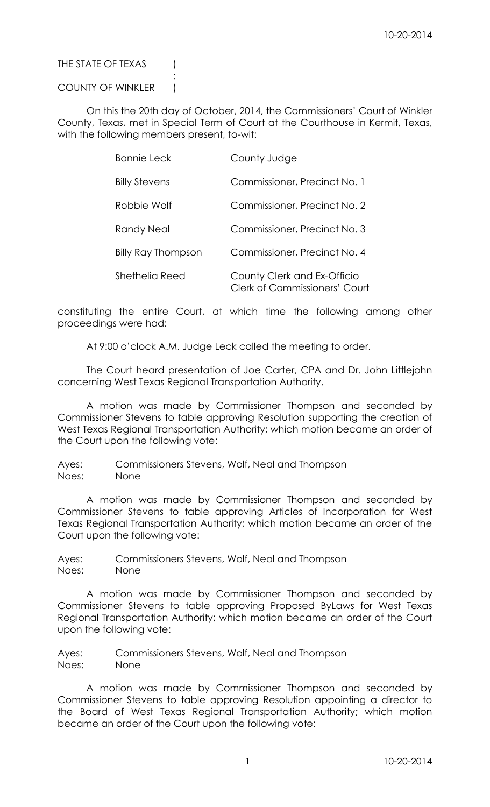## THE STATE OF TEXAS (

## COUNTY OF WINKLER )

:

On this the 20th day of October, 2014, the Commissioners' Court of Winkler County, Texas, met in Special Term of Court at the Courthouse in Kermit, Texas, with the following members present, to-wit:

| <b>Bonnie Leck</b>        | County Judge                                                        |
|---------------------------|---------------------------------------------------------------------|
| <b>Billy Stevens</b>      | Commissioner, Precinct No. 1                                        |
| Robbie Wolf               | Commissioner, Precinct No. 2                                        |
| Randy Neal                | Commissioner, Precinct No. 3                                        |
| <b>Billy Ray Thompson</b> | Commissioner, Precinct No. 4                                        |
| Shethelia Reed            | County Clerk and Ex-Officio<br><b>Clerk of Commissioners' Court</b> |

constituting the entire Court, at which time the following among other proceedings were had:

At 9:00 o'clock A.M. Judge Leck called the meeting to order.

The Court heard presentation of Joe Carter, CPA and Dr. John Littlejohn concerning West Texas Regional Transportation Authority.

A motion was made by Commissioner Thompson and seconded by Commissioner Stevens to table approving Resolution supporting the creation of West Texas Regional Transportation Authority; which motion became an order of the Court upon the following vote:

Ayes: Commissioners Stevens, Wolf, Neal and Thompson Noes: None

A motion was made by Commissioner Thompson and seconded by Commissioner Stevens to table approving Articles of Incorporation for West Texas Regional Transportation Authority; which motion became an order of the Court upon the following vote:

Ayes: Commissioners Stevens, Wolf, Neal and Thompson Noes: None

A motion was made by Commissioner Thompson and seconded by Commissioner Stevens to table approving Proposed ByLaws for West Texas Regional Transportation Authority; which motion became an order of the Court upon the following vote:

Ayes: Commissioners Stevens, Wolf, Neal and Thompson Noes: None

A motion was made by Commissioner Thompson and seconded by Commissioner Stevens to table approving Resolution appointing a director to the Board of West Texas Regional Transportation Authority; which motion became an order of the Court upon the following vote: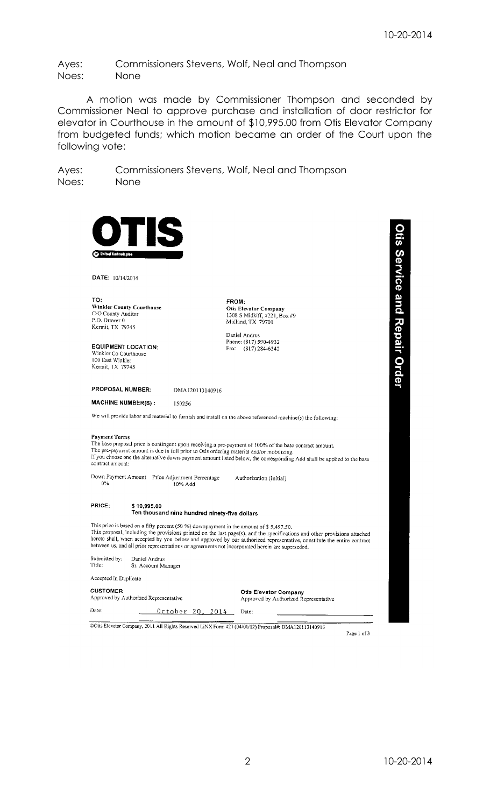Ayes: Commissioners Stevens, Wolf, Neal and Thompson Noes: None

A motion was made by Commissioner Thompson and seconded by Commissioner Neal to approve purchase and installation of door restrictor for elevator in Courthouse in the amount of \$10,995.00 from Otis Elevator Company from budgeted funds; which motion became an order of the Court upon the following vote:

Ayes: Commissioners Stevens, Wolf, Neal and Thompson Noes: None

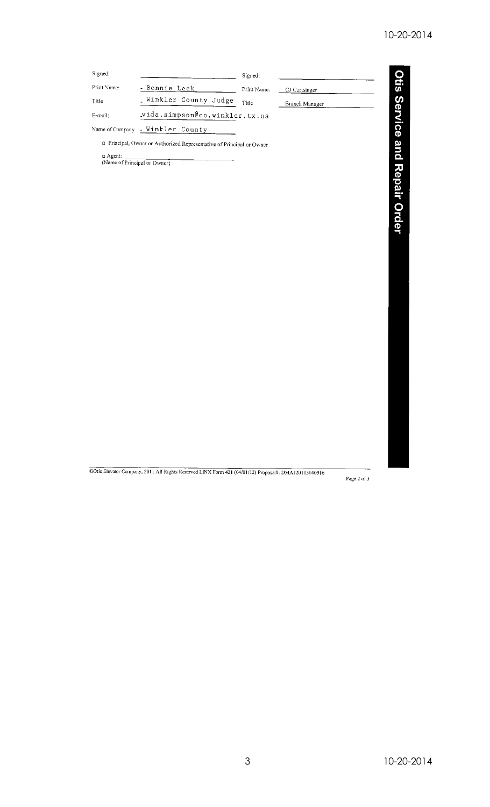| Signed:                                       |                                                                     | Signed:     |                |              |
|-----------------------------------------------|---------------------------------------------------------------------|-------------|----------------|--------------|
| Print Name:                                   | - Bonnie Leck                                                       | Print Name: | CJ Curtsinger  |              |
| Title                                         | Winkler County Judge                                                | Title       | Branch Manager |              |
| E-mail:                                       | .vida.simpson@co.winkler.tx.us                                      |             |                | tis Service  |
| Name of Company                               | - Winkler County                                                    |             |                |              |
| $\Box$ Agent:<br>(Name of Principal or Owner) | Principal, Owner or Authorized Representative of Principal or Owner |             |                | and          |
|                                               |                                                                     |             |                | Repair Order |

COtis Elevator Company, 2011 All Rights Reserved LINX Form 421 (04/01/12) Proposal#: DMA120113140916

Page 2 of  $3\,$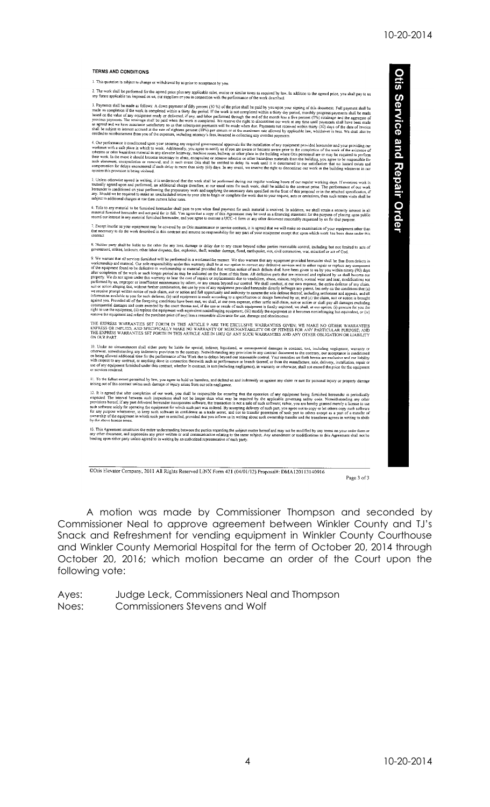Otis Service and Repair Order

## **TERMS AND CONDITIONS**

1. This quotation is subject to change or withdrawal by us prior to acceptance by you.

ork shall be performed for the agreed price plus any applicable sales, excise or similar taxes as required by taw. In addition to the agreed price, you shall pay to us<br>re applicable tax imposed on us, our suppliers or you

3. Payments shall be made as follows: A down payment of fifty percent (50 %) of the price shall be paid by you upon your signing of this docurrent. Full payment shall be made on completion if the work is completed within

4. Our performance is conditioned upon your securing any average secure, where the method in galy overture payments.<br>We see the conditioned upon your securing any required governmental approvals for the installation of an

5. Onless otherwise agreed in writing, it is understood that the work shall be performed during our regular working hours of our regular working days. If overtime work is mutually agreed upon and performed, an additional c

6. Tile to any material to be furnished hereunder shall pass to you when final payment for such material is received. In addition, we shall retain a security interest in all<br>material furnished hereunder and not paid for in

insofar as your equipment may be covered by an Otis maintenance or service contract, it is agreed that we will make no examination of your equipment other than<br>Sary to do the work described in this contract and assume no r

8. Neither party shall be liable to the other for any loss, darnage or delay due to any cause beyond either parties reasonable control, including but not limited to acts of government, strikes, lockouts, other labor disput

government, sueues, wuesous, onter tator dusputes, me, expassion, men, weather camage, riood, extruquiste, not, evit commotion, war, missinet or act or tool.<br>9. We warrant that all services functions of the specifical off

THE EXPRESS WARRANTIES SET FORTH IN THIS ARTICLE 9 ARE THE EXCLUSIVE WARRANTIES GIVEN; WE MAKE NO OTHER WARRANTIES<br>EXPRESS OR IMPLIED, AND SPECIFICALLY MAKE NO WARRANTY OF MERCHANTABILITY OR OF FITNESS FOR ANY PARTICULAR P

10. Under no circumstances shall either party be liable for special, indirect, liquidated, or consequential damages in contract, ort, including negligence, warranty or otherwise, notwithstanding any provision in any contra

11. To the fullest extent permitted by law, you agree to hold us harmless, and defend us and indemnify us against any claim or suit for personal injury or property damage<br>arising out of this contract unless such damage or

12. It is agreed that after completion of our work, you shall be responsible for ensuring that the operation of any equipment being furnished bereunder is periodically mapceted. The interval between such inspections shall

This Agreement constitutes the entire understanding between the parties regarding the subject matter hereof and may not be modified by any terms on your order form or<br>other document, and supersedes any prior written or ora 13. This Agreement constitutes the er

@Otis Elevator Company, 2011 All Rights Reserved LiNX Form 421 (04/01/12) Proposal#: DMA120113140916

Page 3 of 3

A motion was made by Commissioner Thompson and seconded by Commissioner Neal to approve agreement between Winkler County and TJ's Snack and Refreshment for vending equipment in Winkler County Courthouse and Winkler County Memorial Hospital for the term of October 20, 2014 through October 20, 2016; which motion became an order of the Court upon the following vote:

Aves: Judge Leck, Commissioners Neal and Thompson Noes: **Commissioners Stevens and Wolf**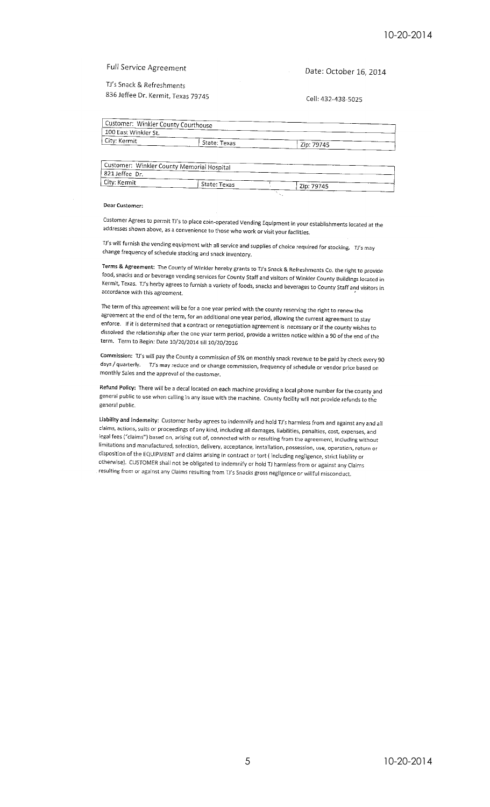**Full Service Agreement** 

TJ's Snack & Refreshments 836 Jeffee Dr. Kermit, Texas 79745 Date: October 16, 2014

Cell: 432-438-5025

| Customer: Winkler County Courthouse        |              |            |  |
|--------------------------------------------|--------------|------------|--|
| 100 East Winkler St.                       |              |            |  |
| City: Kermit                               | State: Texas | Zip: 79745 |  |
|                                            |              |            |  |
|                                            |              |            |  |
| Customer: Winkler County Memorial Hospital |              |            |  |
| 821 Jeffee Dr.                             |              |            |  |

## Dear Customer:

Customer Agrees to permit TJ's to place coin-operated Vending Equipment in your establishments located at the addresses shown above, as a convenience to those who work or visit your facilities.

TI's will furnish the vending equipment with all service and supplies of choice required for stocking. TI's may change frequency of schedule stocking and snack inventory.

Terms & Agreement: The County of Winkler hereby grants to TJ's Snack & Refreshments Co. the right to provide food, snacks and or beverage vending services for County Staff and visitors of Winkler County Buildings located in Kermit, Texas. TJ's herby agrees to furnish a variety of foods, snacks and beverages to County Staff and visitors in accordance with this agreement.

The term of this agreement will be for a one year period with the county reserving the right to renew the agreement at the end of the term, for an additional one year period, allowing the current agreement to stay enforce. If it is determined that a contract or renegotiation agreement is necessary or if the county wishes to dissolved the relationship after the one year term period, provide a written notice within a 90 of the end of the term. Term to Begin: Date 10/20/2014 till 10/20/2016

Commission: TJ's will pay the County a commission of 5% on monthly snack revenue to be paid by check every 90 days / quarterly. Ti's may reduce and or change commission, frequency of schedule or vendor price based on monthly Sales and the approval of the customer.

Refund Policy: There will be a decal located on each machine providing a local phone number for the county and general public to use when calling in any issue with the machine. County facility will not provide refunds to the general public.

Liability and indemnity: Customer herby agrees to indemnify and hold TJ's harmless from and against any and all claims, actions, suits or proceedings of any kind, including all damages, liabilities, penalties, cost, expenses, and legal fees ("claims") based on, arising out of, connected with or resulting from the agreement, including without limitations and manufactured, selection, delivery, acceptance, installation, possession, use, operation, return or disposition of the EQUIPMENT and claims arising in contract or tort (including negligence, strict liability or otherwise). CUSTOMER shall not be obligated to indemnify or hold TJ harmless from or against any Claims resulting from or against any Claims resulting from TJ's Snacks gross negligence or willful misconduct.